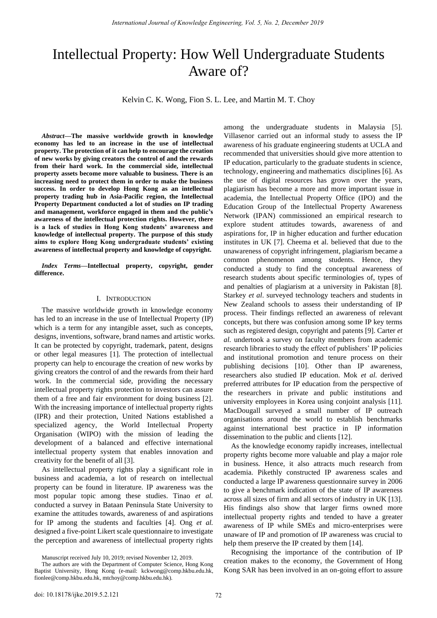# Intellectual Property: How Well Undergraduate Students Aware of?

Kelvin C. K. Wong, Fion S. L. Lee, and Martin M. T. Choy

*Abstract***—The massive worldwide growth in knowledge economy has led to an increase in the use of intellectual property. The protection of it can help to encourage the creation of new works by giving creators the control of and the rewards from their hard work. In the commercial side, intellectual property assets become more valuable to business. There is an increasing need to protect them in order to make the business success. In order to develop Hong Kong as an intellectual property trading hub in Asia-Pacific region, the Intellectual Property Department conducted a lot of studies on IP trading and management, workforce engaged in them and the public's awareness of the intellectual protection rights. However, there is a lack of studies in Hong Kong students' awareness and knowledge of intellectual property. The purpose of this study aims to explore Hong Kong undergraduate students' existing awareness of intellectual property and knowledge of copyright.**

*Index Terms***—Intellectual property, copyright, gender difference.** 

#### I. INTRODUCTION

The massive worldwide growth in knowledge economy has led to an increase in the use of Intellectual Property (IP) which is a term for any intangible asset, such as concepts, designs, inventions, software, brand names and artistic works. It can be protected by copyright, trademark, patent, designs or other legal measures [1]. The protection of intellectual property can help to encourage the creation of new works by giving creators the control of and the rewards from their hard work. In the commercial side, providing the necessary intellectual property rights protection to investors can assure them of a free and fair environment for doing business [2]. With the increasing importance of intellectual property rights (IPR) and their protection, United Nations established a specialized agency, the World Intellectual Property Organisation (WIPO) with the mission of leading the development of a balanced and effective international intellectual property system that enables innovation and creativity for the benefit of all [3].

As intellectual property rights play a significant role in business and academia, a lot of research on intellectual property can be found in literature. IP awareness was the most popular topic among these studies. Tinao *et al.*  conducted a survey in Bataan Peninsula State University to examine the attitudes towards, awareness of and aspirations for IP among the students and faculties [4]. Ong *et al.* designed a five-point Likert scale questionnaire to investigate the perception and awareness of intellectual property rights

Manuscript received July 10, 2019; revised November 12, 2019.

among the undergraduate students in Malaysia [5]. Villasenor carried out an informal study to assess the IP awareness of his graduate engineering students at UCLA and recommended that universities should give more attention to IP education, particularly to the graduate students in science, technology, engineering and mathematics disciplines [6]. As the use of digital resources has grown over the years, plagiarism has become a more and more important issue in academia, the Intellectual Property Office (IPO) and the Education Group of the Intellectual Property Awareness Network (IPAN) commissioned an empirical research to explore student attitudes towards, awareness of and aspirations for, IP in higher education and further education institutes in UK [7]. Cheema et al. believed that due to the unawareness of copyright infringement, plagiarism became a common phenomenon among students. Hence, they conducted a study to find the conceptual awareness of research students about specific terminologies of, types of and penalties of plagiarism at a university in Pakistan [8]. Starkey *et al*. surveyed technology teachers and students in New Zealand schools to assess their understanding of IP process. Their findings reflected an awareness of relevant concepts, but there was confusion among some IP key terms such as registered design, copyright and patents [9]. Carter *et al.* undertook a survey on faculty members from academic research libraries to study the effect of publishers' IP policies and institutional promotion and tenure process on their publishing decisions [10]. Other than IP awareness, researchers also studied IP education. Mok *et al.* derived preferred attributes for IP education from the perspective of the researchers in private and public institutions and university employees in Korea using conjoint analysis [11]. MacDougall surveyed a small number of IP outreach organisations around the world to establish benchmarks against international best practice in IP information dissemination to the public and clients [12].

As the knowledge economy rapidly increases, intellectual property rights become more valuable and play a major role in business. Hence, it also attracts much research from academia. Pikethly constructed IP awareness scales and conducted a large IP awareness questionnaire survey in 2006 to give a benchmark indication of the state of IP awareness across all sizes of firm and all sectors of industry in UK [13]. His findings also show that larger firms owned more intellectual property rights and tended to have a greater awareness of IP while SMEs and micro-enterprises were unaware of IP and promotion of IP awareness was crucial to help them preserve the IP created by them [14].

Recognising the importance of the contribution of IP creation makes to the economy, the Government of Hong Kong SAR has been involved in an on-going effort to assure

The authors are with the Department of Computer Science, Hong Kong Baptist University, Hong Kong (e-mail: kckwong@comp.hkbu.edu.hk, fionlee@comp.hkbu.edu.hk, mtchoy@comp.hkbu.edu.hk).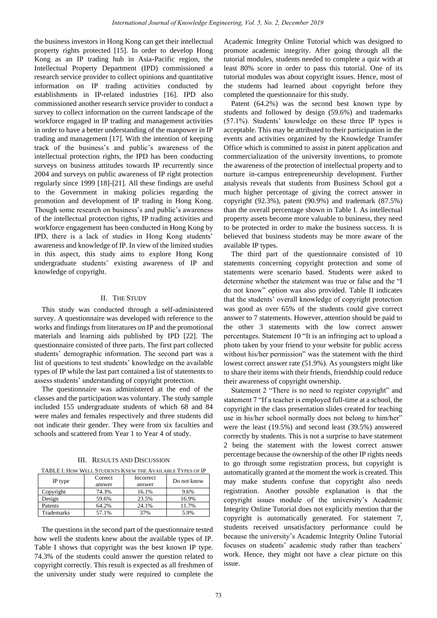the business investors in Hong Kong can get their intellectual property rights protected [15]. In order to develop Hong Kong as an IP trading hub in Asia-Pacific region, the Intellectual Property Department (IPD) commissioned a research service provider to collect opinions and quantitative information on IP trading activities conducted by establishments in IP-related industries [16]. IPD also commissioned another research service provider to conduct a survey to collect information on the current landscape of the workforce engaged in IP trading and management activities in order to have a better understanding of the manpower in IP trading and management [17]. With the intention of keeping track of the business's and public's awareness of the intellectual protection rights, the IPD has been conducting surveys on business attitudes towards IP recurrently since 2004 and surveys on public awareness of IP right protection regularly since 1999 [18]-[21]. All these findings are useful to the Government in making policies regarding the promotion and development of IP trading in Hong Kong. Though some research on business's and public's awareness of the intellectual protection rights, IP trading activities and workforce engagement has been conducted in Hong Kong by IPD, there is a lack of studies in Hong Kong students' awareness and knowledge of IP. In view of the limited studies in this aspect, this study aims to explore Hong Kong undergraduate students' existing awareness of IP and knowledge of copyright.

## II. THE STUDY

This study was conducted through a self-administered survey. A questionnaire was developed with reference to the works and findings from literatures on IP and the promotional materials and learning aids published by IPD [22]. The questionnaire consisted of three parts. The first part collected students' demographic information. The second part was a list of questions to test students' knowledge on the available types of IP while the last part contained a list of statements to assess students' understanding of copyright protection.

The questionnaire was administered at the end of the classes and the participation was voluntary. The study sample included 155 undergraduate students of which 68 and 84 were males and females respectively and three students did not indicate their gender. They were from six faculties and schools and scattered from Year 1 to Year 4 of study.

III. RESULTS AND DISCUSSION

 $T_{\rm eff}$  is the available  $T_{\rm eff}$  is the available to  $T_{\rm eff}$ 

| TADLE I. HOW WELL STUDENTS KNEW THE AVAILABLE TYPES OF IF |         |           |             |  |  |
|-----------------------------------------------------------|---------|-----------|-------------|--|--|
| IP type                                                   | Correct | Incorrect | Do not know |  |  |
|                                                           | answer  | answer    |             |  |  |
| Copyright                                                 | 74.3%   | 16.1%     | 9.6%        |  |  |
| Design                                                    | 59.6%   | 23.5%     | 16.9%       |  |  |
| Patents                                                   | 64.2%   | 24.1%     | 11.7%       |  |  |
| Trademarks                                                | 57.1%   | 37%       | 5.9%        |  |  |

The questions in the second part of the questionnaire tested how well the students knew about the available types of IP. Table I shows that copyright was the best known IP type. 74.3% of the students could answer the question related to copyright correctly. This result is expected as all freshmen of the university under study were required to complete the

Academic Integrity Online Tutorial which was designed to promote academic integrity. After going through all the tutorial modules, students needed to complete a quiz with at least 80% score in order to pass this tutorial. One of its tutorial modules was about copyright issues. Hence, most of the students had learned about copyright before they completed the questionnaire for this study.

Patent (64.2%) was the second best known type by students and followed by design (59.6%) and trademarks (57.1%). Students' knowledge on these three IP types is acceptable. This may be attributed to their participation in the events and activities organized by the Knowledge Transfer Office which is committed to assist in patent application and commercialization of the university inventions, to promote the awareness of the protection of intellectual property and to nurture in-campus entrepreneurship development. Further analysis reveals that students from Business School got a much higher percentage of giving the correct answer in copyright (92.3%), patent (90.9%) and trademark (87.5%) than the overall percentage shown in Table I. As intellectual property assets become more valuable to business, they need to be protected in order to make the business success. It is believed that business students may be more aware of the available IP types.

The third part of the questionnaire consisted of 10 statements concerning copyright protection and some of statements were scenario based. Students were asked to determine whether the statement was true or false and the "I do not know" option was also provided. Table II indicates that the students' overall knowledge of copyright protection was good as over 65% of the students could give correct answer to 7 statements. However, attention should be paid to the other 3 statements with the low correct answer percentages. Statement 10 "It is an infringing act to upload a photo taken by your friend to your website for public access without his/her permission" was the statement with the third lowest correct answer rate (51.9%). As youngsters might like to share their items with their friends, friendship could reduce their awareness of copyright ownership.

Statement 2 "There is no need to register copyright" and statement 7 "If a teacher is employed full-time at a school, the copyright in the class presentation slides created for teaching use in his/her school normally does not belong to him/her" were the least (19.5%) and second least (39.5%) answered correctly by students. This is not a surprise to have statement 2 being the statement with the lowest correct answer percentage because the ownership of the other IP rights needs to go through some registration process, but copyright is automatically granted at the moment the work is created. This may make students confuse that copyright also needs registration. Another possible explanation is that the copyright issues module of the university's Academic Integrity Online Tutorial does not explicitly mention that the copyright is automatically generated. For statement 7, students received unsatisfactory performance could be because the university's Academic Integrity Online Tutorial focuses on students' academic study rather than teachers' work. Hence, they might not have a clear picture on this issue.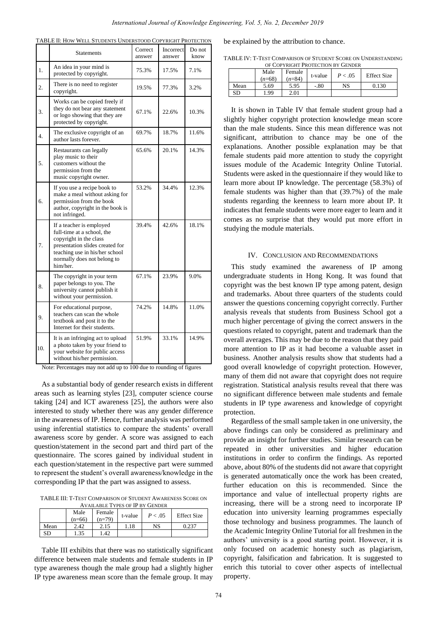|  |  |  | TABLE II: HOW WELL STUDENTS UNDERSTOOD COPYRIGHT PROTECTION |
|--|--|--|-------------------------------------------------------------|
|--|--|--|-------------------------------------------------------------|

|                  | Statements                                                                                                                                                                                       | Correct<br>answer | Incorrect<br>answer | Do not<br>know |
|------------------|--------------------------------------------------------------------------------------------------------------------------------------------------------------------------------------------------|-------------------|---------------------|----------------|
| 1.               | An idea in your mind is<br>protected by copyright.                                                                                                                                               | 75.3%             | 17.5%               | 7.1%           |
| 2.               | There is no need to register<br>copyright.                                                                                                                                                       | 19.5%             | 77.3%               | 3.2%           |
| 3.               | Works can be copied freely if<br>they do not bear any statement<br>or logo showing that they are<br>protected by copyright.                                                                      | 67.1%             | 22.6%               | 10.3%          |
| $\overline{4}$ . | The exclusive copyright of an<br>author lasts forever.                                                                                                                                           | 69.7%             | 18.7%               | 11.6%          |
| 5.               | Restaurants can legally<br>play music to their<br>customers without the<br>permission from the<br>music copyright owner.                                                                         | 65.6%             | 20.1%               | 14.3%          |
| 6.               | If you use a recipe book to<br>make a meal without asking for<br>permission from the book<br>author, copyright in the book is<br>not infringed.                                                  | 53.2%             | 34.4%               | 12.3%          |
| 7.               | If a teacher is employed<br>full-time at a school, the<br>copyright in the class<br>presentation slides created for<br>teaching use in his/her school<br>normally does not belong to<br>him/her. | 39.4%             | 42.6%               | 18.1%          |
| 8.               | The copyright in your term<br>paper belongs to you. The<br>university cannot publish it<br>without your permission.                                                                              | 67.1%             | 23.9%               | 9.0%           |
| 9.               | For educational purpose,<br>teachers can scan the whole<br>textbook and post it to the<br>Internet for their students.                                                                           | 74.2%             | 14.8%               | 11.0%          |
| 10.              | It is an infringing act to upload<br>a photo taken by your friend to<br>your website for public access<br>without his/her permission.                                                            | 51.9%             | 33.1%               | 14.9%          |

Note: Percentages may not add up to 100 due to rounding of figures

As a substantial body of gender research exists in different areas such as learning styles [23], computer science course taking [24] and ICT awareness [25], the authors were also interested to study whether there was any gender difference in the awareness of IP. Hence, further analysis was performed using inferential statistics to compare the students' overall awareness score by gender. A score was assigned to each question/statement in the second part and third part of the questionnaire. The scores gained by individual student in each question/statement in the respective part were summed to represent the student's overall awareness/knowledge in the corresponding IP that the part was assigned to assess.

TABLE III: T-TEST COMPARISON OF STUDENT AWARENESS SCORE ON AVAILABLE TYPES OF IP BY GENDER

|      | Male<br>$(n=66)$ | Female<br>$(n=79)$ | t-value | P < .05 | <b>Effect Size</b> |
|------|------------------|--------------------|---------|---------|--------------------|
| Mean | 2.42             | 2.15               | 1.18    | NS      | 0.237              |
| SD   | .35              | 1.42               |         |         |                    |

Table III exhibits that there was no statistically significant difference between male students and female students in IP type awareness though the male group had a slightly higher IP type awareness mean score than the female group. It may

be explained by the attribution to chance.

TABLE IV: T-TEST COMPARISON OF STUDENT SCORE ON UNDERSTANDING OF COPYRIGHT PROTECTION BY GENDER

|      | Male<br>$(n=68)$ | Female<br>$(n=84)$ | t-value | P < .05 | <b>Effect Size</b> |
|------|------------------|--------------------|---------|---------|--------------------|
| Mean | 5.69             | 5.95               | $-.80$  | NS      | 0.130              |
| SD   | . 99             | 2.01               |         |         |                    |

It is shown in Table IV that female student group had a slightly higher copyright protection knowledge mean score than the male students. Since this mean difference was not significant, attribution to chance may be one of the explanations. Another possible explanation may be that female students paid more attention to study the copyright issues module of the Academic Integrity Online Tutorial. Students were asked in the questionnaire if they would like to learn more about IP knowledge. The percentage (58.3%) of female students was higher than that (39.7%) of the male students regarding the keenness to learn more about IP. It indicates that female students were more eager to learn and it comes as no surprise that they would put more effort in studying the module materials.

### IV. CONCLUSION AND RECOMMENDATIONS

This study examined the awareness of IP among undergraduate students in Hong Kong. It was found that copyright was the best known IP type among patent, design and trademarks. About three quarters of the students could answer the questions concerning copyright correctly. Further analysis reveals that students from Business School got a much higher percentage of giving the correct answers in the questions related to copyright, patent and trademark than the overall averages. This may be due to the reason that they paid more attention to IP as it had become a valuable asset in business. Another analysis results show that students had a good overall knowledge of copyright protection. However, many of them did not aware that copyright does not require registration. Statistical analysis results reveal that there was no significant difference between male students and female students in IP type awareness and knowledge of copyright protection.

Regardless of the small sample taken in one university, the above findings can only be considered as preliminary and provide an insight for further studies. Similar research can be repeated in other universities and higher education institutions in order to confirm the findings. As reported above, about 80% of the students did not aware that copyright is generated automatically once the work has been created, further education on this is recommended. Since the importance and value of intellectual property rights are increasing, there will be a strong need to incorporate IP education into university learning programmes especially those technology and business programmes. The launch of the Academic Integrity Online Tutorial for all freshmen in the authors' university is a good starting point. However, it is only focused on academic honesty such as plagiarism, copyright, falsification and fabrication. It is suggested to enrich this tutorial to cover other aspects of intellectual property.